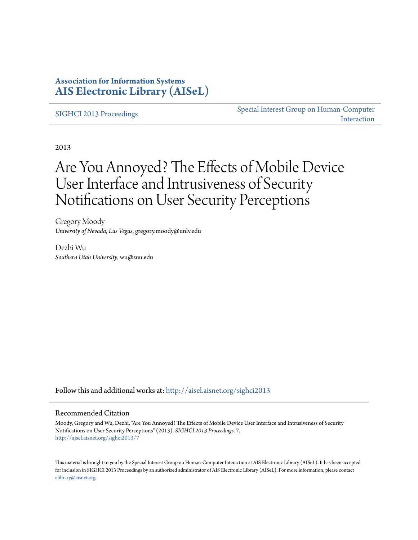### **Association for Information Systems [AIS Electronic Library \(AISeL\)](http://aisel.aisnet.org?utm_source=aisel.aisnet.org%2Fsighci2013%2F7&utm_medium=PDF&utm_campaign=PDFCoverPages)**

[SIGHCI 2013 Proceedings](http://aisel.aisnet.org/sighci2013?utm_source=aisel.aisnet.org%2Fsighci2013%2F7&utm_medium=PDF&utm_campaign=PDFCoverPages)

[Special Interest Group on Human-Computer](http://aisel.aisnet.org/sighci?utm_source=aisel.aisnet.org%2Fsighci2013%2F7&utm_medium=PDF&utm_campaign=PDFCoverPages) [Interaction](http://aisel.aisnet.org/sighci?utm_source=aisel.aisnet.org%2Fsighci2013%2F7&utm_medium=PDF&utm_campaign=PDFCoverPages)

2013

# Are You Annoyed? The Effects of Mobile Device User Interface and Intrusiveness of Security Notifications on User Security Perceptions

Gregory Moody *University of Nevada, Las Vegas*, gregory.moody@unlv.edu

Dezhi Wu *Southern Utah University*, wu@suu.edu

Follow this and additional works at: [http://aisel.aisnet.org/sighci2013](http://aisel.aisnet.org/sighci2013?utm_source=aisel.aisnet.org%2Fsighci2013%2F7&utm_medium=PDF&utm_campaign=PDFCoverPages)

#### Recommended Citation

Moody, Gregory and Wu, Dezhi, "Are You Annoyed? The Effects of Mobile Device User Interface and Intrusiveness of Security Notifications on User Security Perceptions" (2013). *SIGHCI 2013 Proceedings*. 7. [http://aisel.aisnet.org/sighci2013/7](http://aisel.aisnet.org/sighci2013/7?utm_source=aisel.aisnet.org%2Fsighci2013%2F7&utm_medium=PDF&utm_campaign=PDFCoverPages)

This material is brought to you by the Special Interest Group on Human-Computer Interaction at AIS Electronic Library (AISeL). It has been accepted for inclusion in SIGHCI 2013 Proceedings by an authorized administrator of AIS Electronic Library (AISeL). For more information, please contact [elibrary@aisnet.org.](mailto:elibrary@aisnet.org%3E)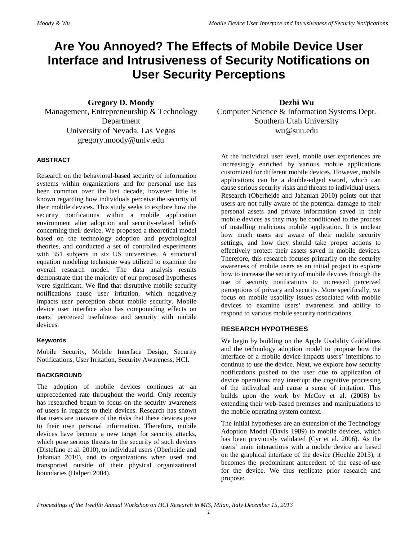## **Are You Annoyed? The Effects of Mobile Device User Interface and Intrusiveness of Security Notifications on User Security Perceptions**

**Gregory D. Moody** Management, Entrepreneurship & Technology Department University of Nevada, Las Vegas gregory.moody@unlv.edu

#### **ABSTRACT**

Research on the behavioral-based security of information systems within organizations and for personal use has been common over the last decade, however little is known regarding how individuals perceive the security of their mobile devices. This study seeks to explore how the security notifications within a mobile application environment alter adoption and security-related beliefs concerning their device. We proposed a theoretical model based on the technology adoption and psychological theories, and conducted a set of controlled experiments with 351 subjects in six US universities. A structural equation modeling technique was utilized to examine the overall research model. The data analysis results demonstrate that the majority of our proposed hypotheses were significant. We find that disruptive mobile security notifications cause user irritation, which negatively impacts user perception about mobile security. Mobile device user interface also has compounding effects on users' perceived usefulness and security with mobile devices.

#### **Keywords**

Mobile Security, Mobile Interface Design, Security Notifications, User Irritation, Security Awareness, HCI.

#### **BACKGROUND**

The adoption of mobile devices continues at an unprecedented rate throughout the world. Only recently has researched begun to focus on the security awareness of users in regards to their devices. Research has shown that users are unaware of the risks that these devices pose to their own personal information. **T**herefore, mobile devices have become a new target for security attacks, which pose serious threats to the security of such devices (Distefano et al. 2010), to individual users (Oberheide and Jahanian 2010), and to organizations when used and transported outside of their physical organizational boundaries (Halpert 2004).

**Dezhi Wu** Computer Science & Information Systems Dept. Southern Utah University wu@suu.edu

At the individual user level, mobile user experiences are increasingly enriched by various mobile applications customized for different mobile devices. However, mobile applications can be a double-edged sword, which can cause serious security risks and threats to individual users. Research (Oberheide and Jahanian 2010) points out that users are not fully aware of the potential damage to their personal assets and private information saved in their mobile devices as they may be conditioned to the process of installing malicious mobile application. It is unclear how much users are aware of their mobile security settings, and how they should take proper actions to effectively protect their assets saved in mobile devices. Therefore, this research focuses primarily on the security awareness of mobile users as an initial project to explore how to increase the security of mobile devices through the use of security notifications to increased perceived perceptions of privacy and security. More specifically, we focus on mobile usability issues associated with mobile devices to examine users' awareness and ability to respond to various mobile security notifications.

#### **RESEARCH HYPOTHESES**

We begin by building on the Apple Usability Guidelines and the technology adoption model to propose how the interface of a mobile device impacts users' intentions to continue to use the device. Next, we explore how security notifications pushed to the user due to application of device operations may interrupt the cognitive processing of the individual and cause a sense of irritation. This builds upon the work by McCoy et al. (2008) by extending their web-based premises and manipulations to the mobile operating system context.

The initial hypotheses are an extension of the Technology Adoption Model (Davis 1989) to mobile devices, which has been previously validated (Cyr et al. 2006). As the users' main interactions with a mobile device are based on the graphical interface of the device (Hoehle 2013), it becomes the predominant antecedent of the ease-of-use for the device. We thus replicate prior research and propose: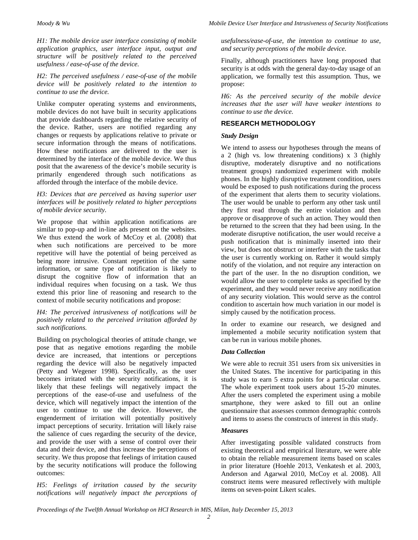*H1: The mobile device user interface consisting of mobile application graphics, user interface input, output and structure will be positively related to the perceived usefulness / ease-of-use of the device.*

*H2: The perceived usefulness / ease-of-use of the mobile device will be positively related to the intention to continue to use the device.*

Unlike computer operating systems and environments, mobile devices do not have built in security applications that provide dashboards regarding the relative security of the device. Rather, users are notified regarding any changes or requests by applications relative to private or secure information through the means of notifications. How these notifications are delivered to the user is determined by the interface of the mobile device. We thus posit that the awareness of the device's mobile security is primarily engendered through such notifications as afforded through the interface of the mobile device.

#### *H3: Devices that are perceived as having superior user interfaces will be positively related to higher perceptions of mobile device security.*

We propose that within application notifications are similar to pop-up and in-line ads present on the websites. We thus extend the work of McCoy et al. (2008) that when such notifications are perceived to be more repetitive will have the potential of being perceived as being more intrusive. Constant repetition of the same information, or same type of notification is likely to disrupt the cognitive flow of information that an individual requires when focusing on a task. We thus extend this prior line of reasoning and research to the context of mobile security notifications and propose:

#### *H4: The perceived intrusiveness of notifications will be positively related to the perceived irritation afforded by such notifications.*

Building on psychological theories of attitude change, we pose that as negative emotions regarding the mobile device are increased, that intentions or perceptions regarding the device will also be negatively impacted (Petty and Wegener 1998). Specifically, as the user becomes irritated with the security notifications, it is likely that these feelings will negatively impact the perceptions of the ease-of-use and usefulness of the device, which will negatively impact the intention of the user to continue to use the device. However, the engenderment of irritation will potentially positively impact perceptions of security. Irritation will likely raise the salience of cues regarding the security of the device, and provide the user with a sense of control over their data and their device, and thus increase the perceptions of security. We thus propose that feelings of irritation caused by the security notifications will produce the following outcomes:

*H5: Feelings of irritation caused by the security notifications will negatively impact the perceptions of* 

*usefulness/ease-of-use, the intention to continue to use, and security perceptions of the mobile device.*

Finally, although practitioners have long proposed that security is at odds with the general day-to-day usage of an application, we formally test this assumption. Thus, we propose:

*H6: As the perceived security of the mobile device increases that the user will have weaker intentions to continue to use the device.*

#### **RESEARCH METHODOLOGY**

#### *Study Design*

We intend to assess our hypotheses through the means of a 2 (high vs. low threatening conditions) x 3 (highly disruptive, moderately disruptive and no notifications treatment groups) randomized experiment with mobile phones. In the highly disruptive treatment condition, users would be exposed to push notifications during the process of the experiment that alerts them to security violations. The user would be unable to perform any other task until they first read through the entire violation and then approve or disapprove of such an action. They would then be returned to the screen that they had been using. In the moderate disruptive notification, the user would receive a push notification that is minimally inserted into their view, but does not obstruct or interfere with the tasks that the user is currently working on. Rather it would simply notify of the violation, and not require any interaction on the part of the user. In the no disruption condition, we would allow the user to complete tasks as specified by the experiment, and they would never receive any notification of any security violation. This would serve as the control condition to ascertain how much variation in our model is simply caused by the notification process.

In order to examine our research, we designed and implemented a mobile security notification system that can be run in various mobile phones.

#### *Data Collection*

We were able to recruit 351 users from six universities in the United States. The incentive for participating in this study was to earn 5 extra points for a particular course. The whole experiment took users about 15-20 minutes. After the users completed the experiment using a mobile smartphone, they were asked to fill out an online questionnaire that assesses common demographic controls and items to assess the constructs of interest in this study.

#### *Measures*

After investigating possible validated constructs from existing theoretical and empirical literature, we were able to obtain the reliable measurement items based on scales in prior literature (Hoehle 2013, Venkatesh et al. 2003, Anderson and Agarwal 2010, McCoy et al. 2008). All construct items were measured reflectively with multiple items on seven-point Likert scales.